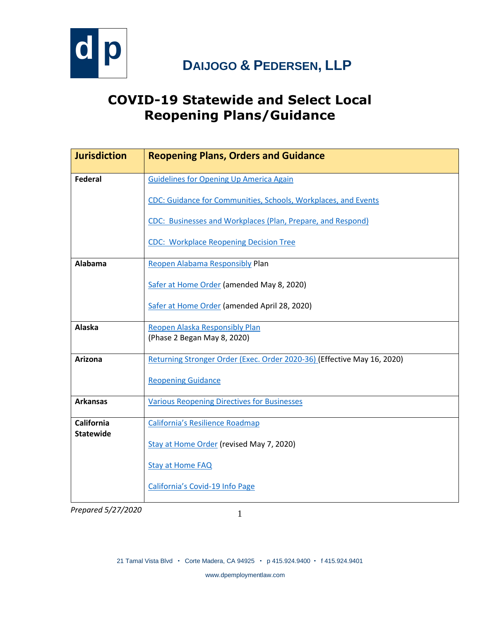

#### **COVID-19 Statewide and Select Local Reopening Plans/Guidance**

| <b>Jurisdiction</b> | <b>Reopening Plans, Orders and Guidance</b>                             |
|---------------------|-------------------------------------------------------------------------|
| <b>Federal</b>      | <b>Guidelines for Opening Up America Again</b>                          |
|                     | CDC: Guidance for Communities, Schools, Workplaces, and Events          |
|                     | CDC: Businesses and Workplaces (Plan, Prepare, and Respond)             |
|                     | <b>CDC: Workplace Reopening Decision Tree</b>                           |
| Alabama             | Reopen Alabama Responsibly Plan                                         |
|                     | Safer at Home Order (amended May 8, 2020)                               |
|                     | Safer at Home Order (amended April 28, 2020)                            |
| Alaska              | Reopen Alaska Responsibly Plan                                          |
|                     | (Phase 2 Began May 8, 2020)                                             |
| Arizona             | Returning Stronger Order (Exec. Order 2020-36) (Effective May 16, 2020) |
|                     | <b>Reopening Guidance</b>                                               |
| <b>Arkansas</b>     | <b>Various Reopening Directives for Businesses</b>                      |
| <b>California</b>   | <b>California's Resilience Roadmap</b>                                  |
| <b>Statewide</b>    | Stay at Home Order (revised May 7, 2020)                                |
|                     | <b>Stay at Home FAQ</b>                                                 |
|                     | California's Covid-19 Info Page                                         |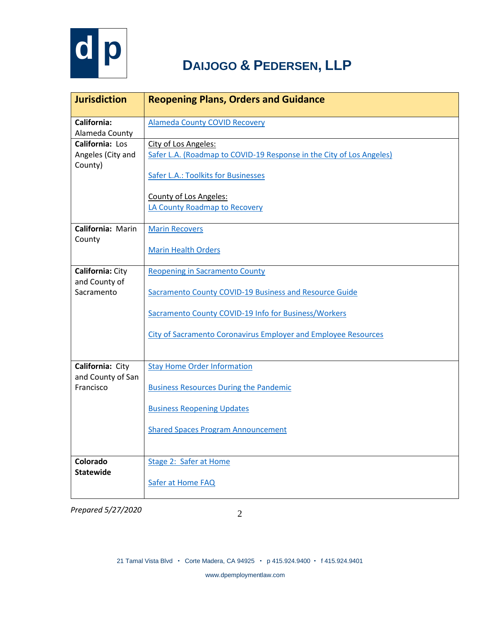

| <b>Jurisdiction</b>                                    | <b>Reopening Plans, Orders and Guidance</b>                                                                                                                                                                                      |
|--------------------------------------------------------|----------------------------------------------------------------------------------------------------------------------------------------------------------------------------------------------------------------------------------|
| California:<br>Alameda County                          | <b>Alameda County COVID Recovery</b>                                                                                                                                                                                             |
| California: Los<br>Angeles (City and<br>County)        | City of Los Angeles:<br>Safer L.A. (Roadmap to COVID-19 Response in the City of Los Angeles)<br>Safer L.A.: Toolkits for Businesses                                                                                              |
|                                                        | <b>County of Los Angeles:</b><br>LA County Roadmap to Recovery                                                                                                                                                                   |
| California: Marin<br>County                            | <b>Marin Recovers</b><br><b>Marin Health Orders</b>                                                                                                                                                                              |
| <b>California: City</b><br>and County of<br>Sacramento | <b>Reopening in Sacramento County</b><br>Sacramento County COVID-19 Business and Resource Guide<br>Sacramento County COVID-19 Info for Business/Workers<br><b>City of Sacramento Coronavirus Employer and Employee Resources</b> |
| California: City<br>and County of San<br>Francisco     | <b>Stay Home Order Information</b><br><b>Business Resources During the Pandemic</b><br><b>Business Reopening Updates</b><br><b>Shared Spaces Program Announcement</b>                                                            |
| Colorado<br><b>Statewide</b>                           | Stage 2: Safer at Home<br>Safer at Home FAQ                                                                                                                                                                                      |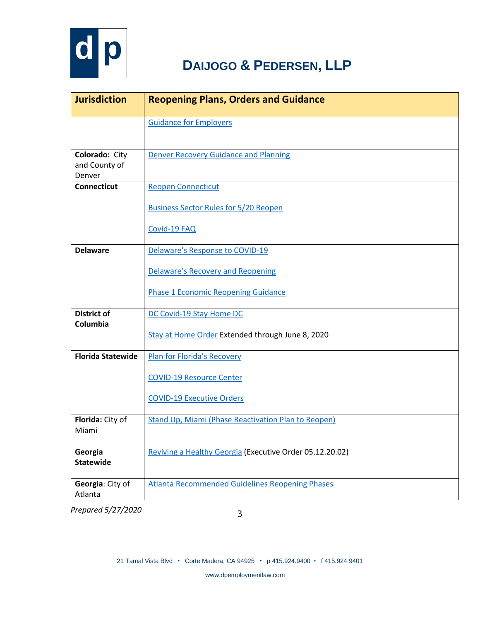

| <b>Jurisdiction</b>                       | <b>Reopening Plans, Orders and Guidance</b>                                                        |
|-------------------------------------------|----------------------------------------------------------------------------------------------------|
|                                           | <b>Guidance for Employers</b>                                                                      |
| Colorado: City<br>and County of<br>Denver | <b>Denver Recovery Guidance and Planning</b>                                                       |
| <b>Connecticut</b>                        | <b>Reopen Connecticut</b><br><b>Business Sector Rules for 5/20 Reopen</b><br>Covid-19 FAQ          |
| <b>Delaware</b>                           | Delaware's Response to COVID-19                                                                    |
|                                           | <b>Delaware's Recovery and Reopening</b><br><b>Phase 1 Economic Reopening Guidance</b>             |
| <b>District of</b><br>Columbia            | DC Covid-19 Stay Home DC<br>Stay at Home Order Extended through June 8, 2020                       |
| <b>Florida Statewide</b>                  | Plan for Florida's Recovery<br><b>COVID-19 Resource Center</b><br><b>COVID-19 Executive Orders</b> |
| Florida: City of<br>Miami                 | Stand Up, Miami (Phase Reactivation Plan to Reopen)                                                |
| Georgia<br><b>Statewide</b>               | Reviving a Healthy Georgia (Executive Order 05.12.20.02)                                           |
| Georgia: City of<br>Atlanta               | <b>Atlanta Recommended Guidelines Reopening Phases</b>                                             |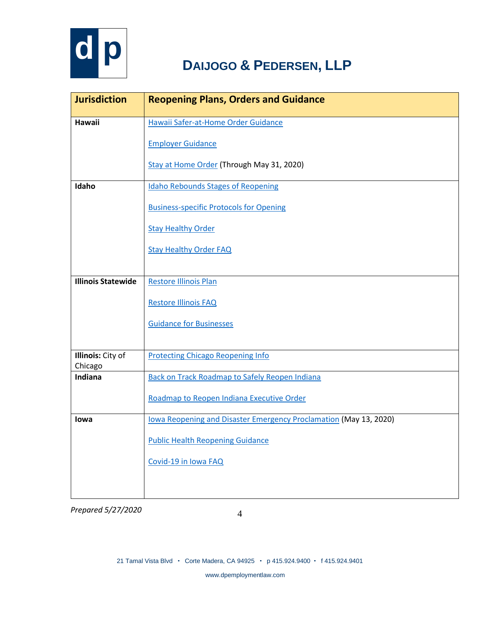

| <b>Jurisdiction</b>       | <b>Reopening Plans, Orders and Guidance</b>                       |
|---------------------------|-------------------------------------------------------------------|
| <b>Hawaii</b>             | Hawaii Safer-at-Home Order Guidance                               |
|                           | <b>Employer Guidance</b>                                          |
|                           | Stay at Home Order (Through May 31, 2020)                         |
| Idaho                     | <b>Idaho Rebounds Stages of Reopening</b>                         |
|                           | <b>Business-specific Protocols for Opening</b>                    |
|                           | <b>Stay Healthy Order</b>                                         |
|                           | <b>Stay Healthy Order FAQ</b>                                     |
|                           |                                                                   |
| <b>Illinois Statewide</b> | <b>Restore Illinois Plan</b>                                      |
|                           | <b>Restore Illinois FAQ</b>                                       |
|                           | <b>Guidance for Businesses</b>                                    |
|                           |                                                                   |
| <b>Illinois:</b> City of  | <b>Protecting Chicago Reopening Info</b>                          |
| Chicago                   |                                                                   |
| <b>Indiana</b>            | <b>Back on Track Roadmap to Safely Reopen Indiana</b>             |
|                           | Roadmap to Reopen Indiana Executive Order                         |
| lowa                      | lowa Reopening and Disaster Emergency Proclamation (May 13, 2020) |
|                           | <b>Public Health Reopening Guidance</b>                           |
|                           | Covid-19 in Iowa FAQ                                              |
|                           |                                                                   |
|                           |                                                                   |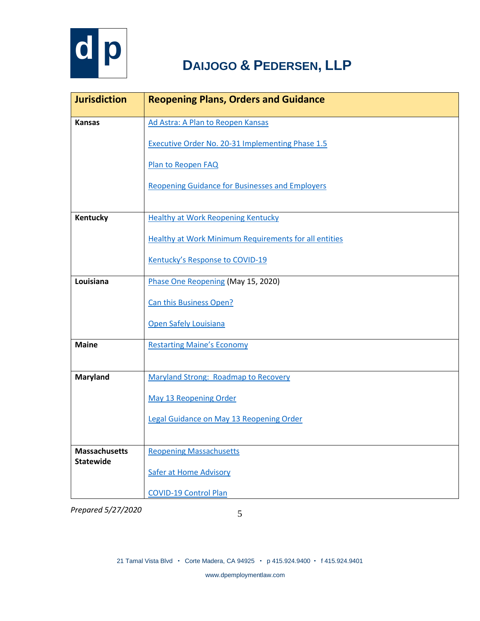

| <b>Jurisdiction</b>  | <b>Reopening Plans, Orders and Guidance</b>                  |
|----------------------|--------------------------------------------------------------|
| <b>Kansas</b>        | Ad Astra: A Plan to Reopen Kansas                            |
|                      | <b>Executive Order No. 20-31 Implementing Phase 1.5</b>      |
|                      | Plan to Reopen FAQ                                           |
|                      | <b>Reopening Guidance for Businesses and Employers</b>       |
|                      |                                                              |
| Kentucky             | <b>Healthy at Work Reopening Kentucky</b>                    |
|                      | <b>Healthy at Work Minimum Requirements for all entities</b> |
|                      | Kentucky's Response to COVID-19                              |
| Louisiana            | Phase One Reopening (May 15, 2020)                           |
|                      | Can this Business Open?                                      |
|                      | Open Safely Louisiana                                        |
| <b>Maine</b>         | <b>Restarting Maine's Economy</b>                            |
|                      |                                                              |
| <b>Maryland</b>      | <b>Maryland Strong: Roadmap to Recovery</b>                  |
|                      | May 13 Reopening Order                                       |
|                      | Legal Guidance on May 13 Reopening Order                     |
|                      |                                                              |
| <b>Massachusetts</b> | <b>Reopening Massachusetts</b>                               |
| <b>Statewide</b>     | <b>Safer at Home Advisory</b>                                |
|                      | <b>COVID-19 Control Plan</b>                                 |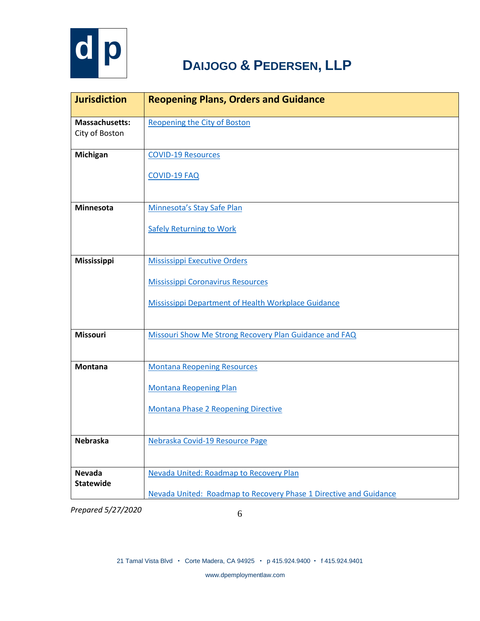

| <b>Jurisdiction</b>                     | <b>Reopening Plans, Orders and Guidance</b>                                                                                                   |
|-----------------------------------------|-----------------------------------------------------------------------------------------------------------------------------------------------|
| <b>Massachusetts:</b><br>City of Boston | <b>Reopening the City of Boston</b>                                                                                                           |
| Michigan                                | <b>COVID-19 Resources</b><br><b>COVID-19 FAQ</b>                                                                                              |
| Minnesota                               | Minnesota's Stay Safe Plan<br><b>Safely Returning to Work</b>                                                                                 |
| Mississippi                             | <b>Mississippi Executive Orders</b><br><b>Mississippi Coronavirus Resources</b><br><b>Mississippi Department of Health Workplace Guidance</b> |
| <b>Missouri</b>                         | Missouri Show Me Strong Recovery Plan Guidance and FAQ                                                                                        |
| <b>Montana</b>                          | <b>Montana Reopening Resources</b><br><b>Montana Reopening Plan</b><br><b>Montana Phase 2 Reopening Directive</b>                             |
| <b>Nebraska</b>                         | Nebraska Covid-19 Resource Page                                                                                                               |
| Nevada<br><b>Statewide</b>              | Nevada United: Roadmap to Recovery Plan<br>Nevada United: Roadmap to Recovery Phase 1 Directive and Guidance                                  |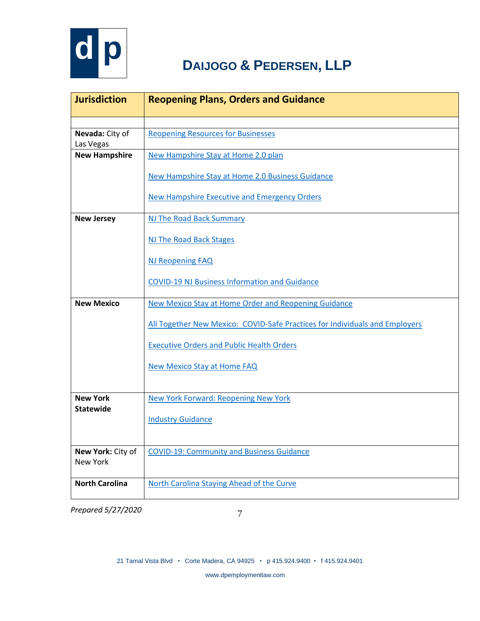

| <b>Jurisdiction</b>           | <b>Reopening Plans, Orders and Guidance</b>                                 |
|-------------------------------|-----------------------------------------------------------------------------|
|                               |                                                                             |
| Nevada: City of<br>Las Vegas  | <b>Reopening Resources for Businesses</b>                                   |
| <b>New Hampshire</b>          | New Hampshire Stay at Home 2.0 plan                                         |
|                               | New Hampshire Stay at Home 2.0 Business Guidance                            |
|                               | <b>New Hampshire Executive and Emergency Orders</b>                         |
| <b>New Jersey</b>             | NJ The Road Back Summary                                                    |
|                               | NJ The Road Back Stages                                                     |
|                               | <b>NJ Reopening FAQ</b>                                                     |
|                               | <b>COVID-19 NJ Business Information and Guidance</b>                        |
| <b>New Mexico</b>             | New Mexico Stay at Home Order and Reopening Guidance                        |
|                               | All Together New Mexico: COVID-Safe Practices for Individuals and Employers |
|                               | <b>Executive Orders and Public Health Orders</b>                            |
|                               | <b>New Mexico Stay at Home FAQ</b>                                          |
|                               |                                                                             |
| <b>New York</b>               | <b>New York Forward: Reopening New York</b>                                 |
| <b>Statewide</b>              | <b>Industry Guidance</b>                                                    |
|                               |                                                                             |
| New York: City of<br>New York | <b>COVID-19: Community and Business Guidance</b>                            |
|                               |                                                                             |
| <b>North Carolina</b>         | North Carolina Staying Ahead of the Curve                                   |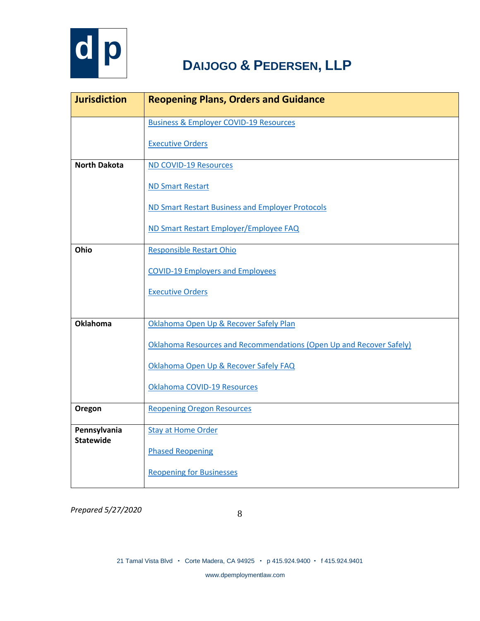

| <b>Jurisdiction</b>              | <b>Reopening Plans, Orders and Guidance</b>                         |
|----------------------------------|---------------------------------------------------------------------|
|                                  | <b>Business &amp; Employer COVID-19 Resources</b>                   |
|                                  | <b>Executive Orders</b>                                             |
| <b>North Dakota</b>              | <b>ND COVID-19 Resources</b>                                        |
|                                  | <b>ND Smart Restart</b>                                             |
|                                  | ND Smart Restart Business and Employer Protocols                    |
|                                  | ND Smart Restart Employer/Employee FAQ                              |
| Ohio                             | <b>Responsible Restart Ohio</b>                                     |
|                                  | <b>COVID-19 Employers and Employees</b>                             |
|                                  | <b>Executive Orders</b>                                             |
|                                  |                                                                     |
| <b>Oklahoma</b>                  | Oklahoma Open Up & Recover Safely Plan                              |
|                                  | Oklahoma Resources and Recommendations (Open Up and Recover Safely) |
|                                  | Oklahoma Open Up & Recover Safely FAQ                               |
|                                  | Oklahoma COVID-19 Resources                                         |
| Oregon                           | <b>Reopening Oregon Resources</b>                                   |
| Pennsylvania<br><b>Statewide</b> | <b>Stay at Home Order</b>                                           |
|                                  | <b>Phased Reopening</b>                                             |
|                                  | <b>Reopening for Businesses</b>                                     |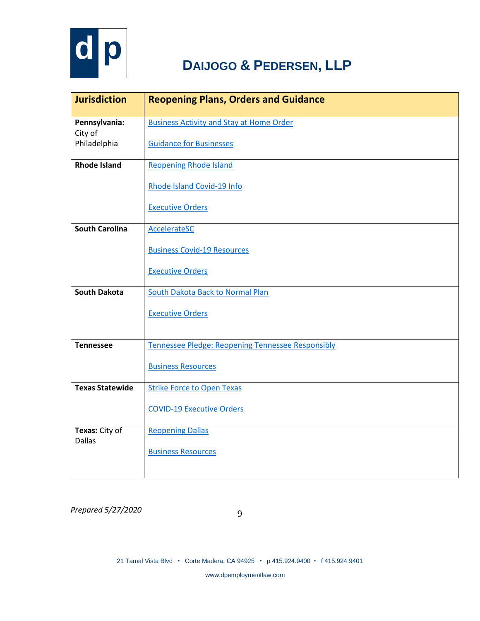

| <b>Jurisdiction</b>             | <b>Reopening Plans, Orders and Guidance</b>              |
|---------------------------------|----------------------------------------------------------|
| Pennsylvania:<br>City of        | <b>Business Activity and Stay at Home Order</b>          |
| Philadelphia                    | <b>Guidance for Businesses</b>                           |
| <b>Rhode Island</b>             | <b>Reopening Rhode Island</b>                            |
|                                 | Rhode Island Covid-19 Info                               |
|                                 | <b>Executive Orders</b>                                  |
| <b>South Carolina</b>           | <b>AccelerateSC</b>                                      |
|                                 | <b>Business Covid-19 Resources</b>                       |
|                                 | <b>Executive Orders</b>                                  |
| <b>South Dakota</b>             | <b>South Dakota Back to Normal Plan</b>                  |
|                                 | <b>Executive Orders</b>                                  |
|                                 |                                                          |
| <b>Tennessee</b>                | <b>Tennessee Pledge: Reopening Tennessee Responsibly</b> |
|                                 | <b>Business Resources</b>                                |
| <b>Texas Statewide</b>          | <b>Strike Force to Open Texas</b>                        |
|                                 | <b>COVID-19 Executive Orders</b>                         |
| Texas: City of<br><b>Dallas</b> | <b>Reopening Dallas</b>                                  |
|                                 | <b>Business Resources</b>                                |
|                                 |                                                          |

*Prepared 5/27/2020*

www.dpemploymentlaw.com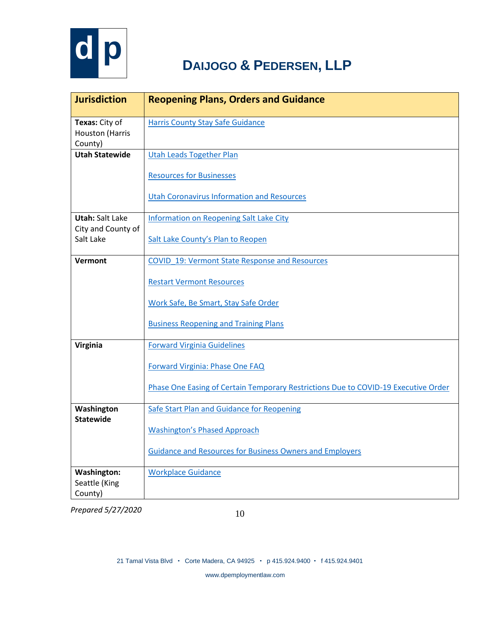

| <b>Jurisdiction</b>                            | <b>Reopening Plans, Orders and Guidance</b>                                        |
|------------------------------------------------|------------------------------------------------------------------------------------|
| Texas: City of<br>Houston (Harris<br>County)   | <b>Harris County Stay Safe Guidance</b>                                            |
| <b>Utah Statewide</b>                          | <b>Utah Leads Together Plan</b>                                                    |
|                                                | <b>Resources for Businesses</b>                                                    |
|                                                | <b>Utah Coronavirus Information and Resources</b>                                  |
| <b>Utah: Salt Lake</b>                         | <b>Information on Reopening Salt Lake City</b>                                     |
| City and County of<br>Salt Lake                | Salt Lake County's Plan to Reopen                                                  |
| Vermont                                        | <b>COVID 19: Vermont State Response and Resources</b>                              |
|                                                | <b>Restart Vermont Resources</b>                                                   |
|                                                | Work Safe, Be Smart, Stay Safe Order                                               |
|                                                | <b>Business Reopening and Training Plans</b>                                       |
| <b>Virginia</b>                                | <b>Forward Virginia Guidelines</b>                                                 |
|                                                | Forward Virginia: Phase One FAQ                                                    |
|                                                | Phase One Easing of Certain Temporary Restrictions Due to COVID-19 Executive Order |
| Washington                                     | Safe Start Plan and Guidance for Reopening                                         |
| <b>Statewide</b>                               | <b>Washington's Phased Approach</b>                                                |
|                                                | <b>Guidance and Resources for Business Owners and Employers</b>                    |
| <b>Washington:</b><br>Seattle (King<br>County) | <b>Workplace Guidance</b>                                                          |